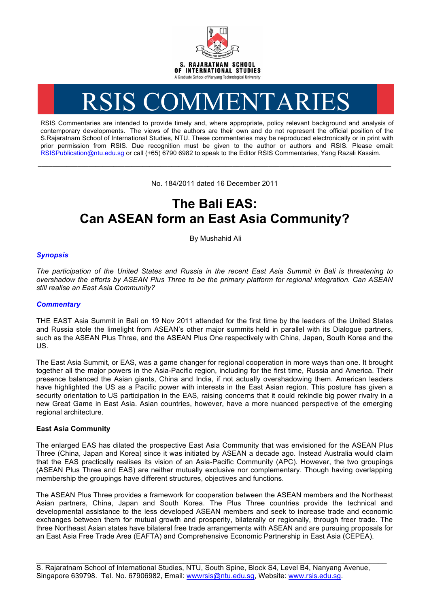

# RSIS COMMENTARIES

RSIS Commentaries are intended to provide timely and, where appropriate, policy relevant background and analysis of contemporary developments. The views of the authors are their own and do not represent the official position of the S.Rajaratnam School of International Studies, NTU. These commentaries may be reproduced electronically or in print with prior permission from RSIS. Due recognition must be given to the author or authors and RSIS. Please email: RSISPublication@ntu.edu.sg or call (+65) 6790 6982 to speak to the Editor RSIS Commentaries, Yang Razali Kassim.

No. 184/2011 dated 16 December 2011

**\_\_\_\_\_\_\_\_\_\_\_\_\_\_\_\_\_\_\_\_\_\_\_\_\_\_\_\_\_\_\_\_\_\_\_\_\_\_\_\_\_\_\_\_\_\_\_\_\_\_\_\_\_\_\_\_\_\_\_\_\_\_\_\_\_\_\_\_\_\_\_\_\_\_\_\_\_\_\_\_\_\_\_\_\_\_\_\_\_\_\_\_\_\_\_\_\_\_**

# **The Bali EAS: Can ASEAN form an East Asia Community?**

By Mushahid Ali

## *Synopsis*

*The participation of the United States and Russia in the recent East Asia Summit in Bali is threatening to overshadow the efforts by ASEAN Plus Three to be the primary platform for regional integration. Can ASEAN still realise an East Asia Community?*

#### *Commentary*

THE EAST Asia Summit in Bali on 19 Nov 2011 attended for the first time by the leaders of the United States and Russia stole the limelight from ASEAN's other major summits held in parallel with its Dialogue partners, such as the ASEAN Plus Three, and the ASEAN Plus One respectively with China, Japan, South Korea and the US.

The East Asia Summit, or EAS, was a game changer for regional cooperation in more ways than one. It brought together all the major powers in the Asia-Pacific region, including for the first time, Russia and America. Their presence balanced the Asian giants, China and India, if not actually overshadowing them. American leaders have highlighted the US as a Pacific power with interests in the East Asian region. This posture has given a security orientation to US participation in the EAS, raising concerns that it could rekindle big power rivalry in a new Great Game in East Asia. Asian countries, however, have a more nuanced perspective of the emerging regional architecture.

### **East Asia Community**

The enlarged EAS has dilated the prospective East Asia Community that was envisioned for the ASEAN Plus Three (China, Japan and Korea) since it was initiated by ASEAN a decade ago. Instead Australia would claim that the EAS practically realises its vision of an Asia-Pacific Community (APC). However, the two groupings (ASEAN Plus Three and EAS) are neither mutually exclusive nor complementary. Though having overlapping membership the groupings have different structures, objectives and functions.

The ASEAN Plus Three provides a framework for cooperation between the ASEAN members and the Northeast Asian partners, China, Japan and South Korea. The Plus Three countries provide the technical and developmental assistance to the less developed ASEAN members and seek to increase trade and economic exchanges between them for mutual growth and prosperity, bilaterally or regionally, through freer trade. The three Northeast Asian states have bilateral free trade arrangements with ASEAN and are pursuing proposals for an East Asia Free Trade Area (EAFTA) and Comprehensive Economic Partnership in East Asia (CEPEA).